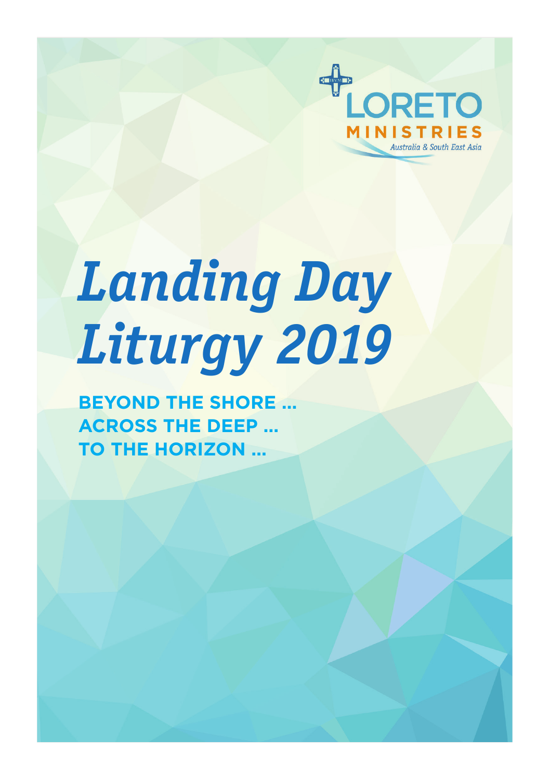

# *Landing Day Liturgy 2019*

**BEYOND THE SHORE … ACROSS THE DEEP … TO THE HORIZON …**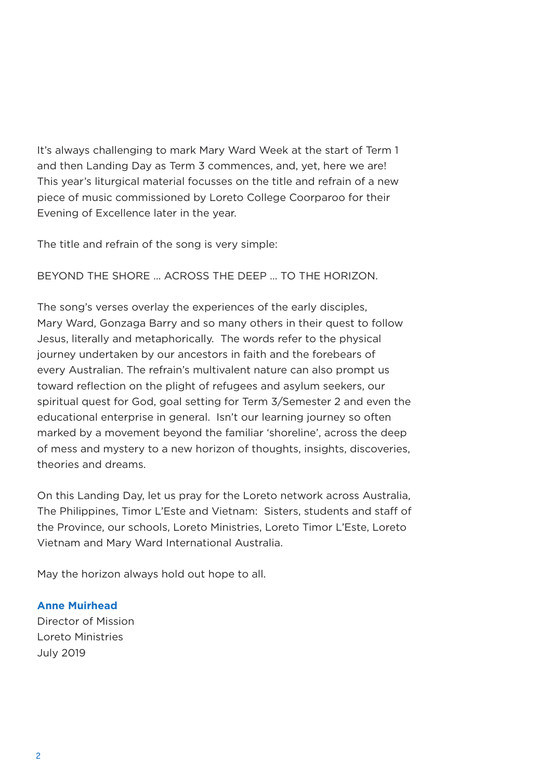It's always challenging to mark Mary Ward Week at the start of Term 1 and then Landing Day as Term 3 commences, and, yet, here we are! This year's liturgical material focusses on the title and refrain of a new piece of music commissioned by Loreto College Coorparoo for their Evening of Excellence later in the year.

The title and refrain of the song is very simple:

BEYOND THE SHORE … ACROSS THE DEEP … TO THE HORIZON.

The song's verses overlay the experiences of the early disciples, Mary Ward, Gonzaga Barry and so many others in their quest to follow Jesus, literally and metaphorically. The words refer to the physical journey undertaken by our ancestors in faith and the forebears of every Australian. The refrain's multivalent nature can also prompt us toward reflection on the plight of refugees and asylum seekers, our spiritual quest for God, goal setting for Term 3/Semester 2 and even the educational enterprise in general. Isn't our learning journey so often marked by a movement beyond the familiar 'shoreline', across the deep of mess and mystery to a new horizon of thoughts, insights, discoveries, theories and dreams.

On this Landing Day, let us pray for the Loreto network across Australia, The Philippines, Timor L'Este and Vietnam: Sisters, students and staff of the Province, our schools, Loreto Ministries, Loreto Timor L'Este, Loreto Vietnam and Mary Ward International Australia.

May the horizon always hold out hope to all.

#### **Anne Muirhead**

Director of Mission Loreto Ministries July 2019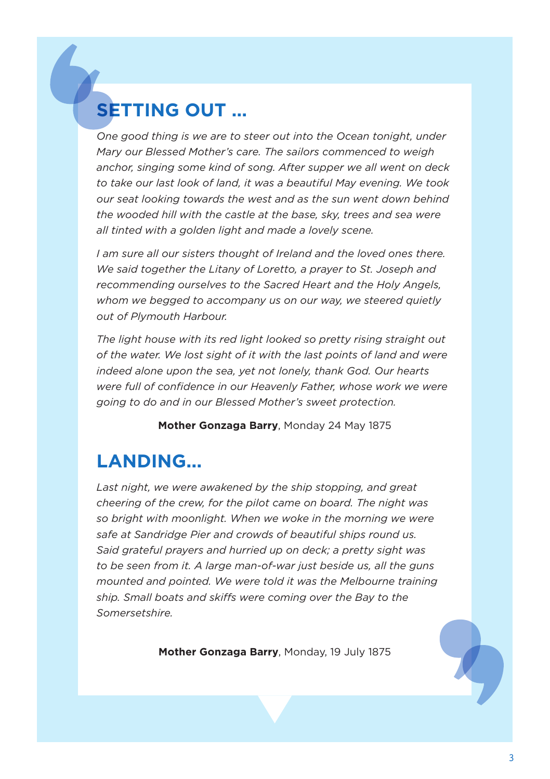## **SETTING OUT …**

*One good thing is we are to steer out into the Ocean tonight, under Mary our Blessed Mother's care. The sailors commenced to weigh anchor, singing some kind of song. After supper we all went on deck to take our last look of land, it was a beautiful May evening. We took our seat looking towards the west and as the sun went down behind the wooded hill with the castle at the base, sky, trees and sea were all tinted with a golden light and made a lovely scene.* 

*I am sure all our sisters thought of Ireland and the loved ones there. We said together the Litany of Loretto, a prayer to St. Joseph and recommending ourselves to the Sacred Heart and the Holy Angels, whom we begged to accompany us on our way, we steered quietly out of Plymouth Harbour.* 

*The light house with its red light looked so pretty rising straight out of the water. We lost sight of it with the last points of land and were indeed alone upon the sea, yet not lonely, thank God. Our hearts were full of confidence in our Heavenly Father, whose work we were going to do and in our Blessed Mother's sweet protection.* 

**Mother Gonzaga Barry**, Monday 24 May 1875

### **LANDING...**

*Last night, we were awakened by the ship stopping, and great cheering of the crew, for the pilot came on board. The night was so bright with moonlight. When we woke in the morning we were safe at Sandridge Pier and crowds of beautiful ships round us. Said grateful prayers and hurried up on deck; a pretty sight was to be seen from it. A large man-of-war just beside us, all the guns mounted and pointed. We were told it was the Melbourne training ship. Small boats and skiffs were coming over the Bay to the Somersetshire.*

**Mother Gonzaga Barry**, Monday, 19 July 1875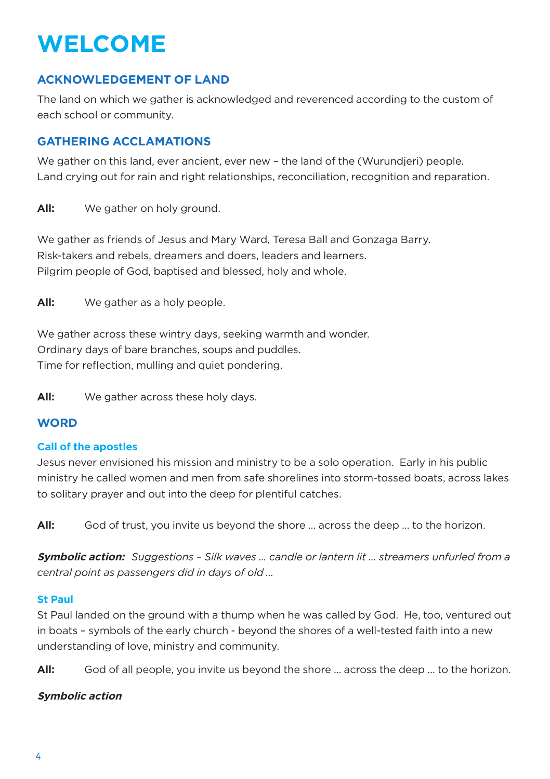# **WELCOME**

#### **ACKNOWLEDGEMENT OF LAND**

The land on which we gather is acknowledged and reverenced according to the custom of each school or community.

#### **GATHERING ACCLAMATIONS**

We gather on this land, ever ancient, ever new – the land of the (Wurundjeri) people. Land crying out for rain and right relationships, reconciliation, recognition and reparation.

All: We gather on holy ground.

We gather as friends of Jesus and Mary Ward, Teresa Ball and Gonzaga Barry. Risk-takers and rebels, dreamers and doers, leaders and learners. Pilgrim people of God, baptised and blessed, holy and whole.

**All:** We gather as a holy people.

We gather across these wintry days, seeking warmth and wonder. Ordinary days of bare branches, soups and puddles. Time for reflection, mulling and quiet pondering.

**All:** We gather across these holy days.

#### **WORD**

#### **Call of the apostles**

Jesus never envisioned his mission and ministry to be a solo operation. Early in his public ministry he called women and men from safe shorelines into storm-tossed boats, across lakes to solitary prayer and out into the deep for plentiful catches.

**All:** God of trust, you invite us beyond the shore … across the deep … to the horizon.

**Symbolic action:** *Suggestions – Silk waves … candle or lantern lit … streamers unfurled from a central point as passengers did in days of old …* 

#### **St Paul**

St Paul landed on the ground with a thump when he was called by God. He, too, ventured out in boats – symbols of the early church - beyond the shores of a well-tested faith into a new understanding of love, ministry and community.

**All:** God of all people, you invite us beyond the shore … across the deep … to the horizon.

#### **Symbolic action**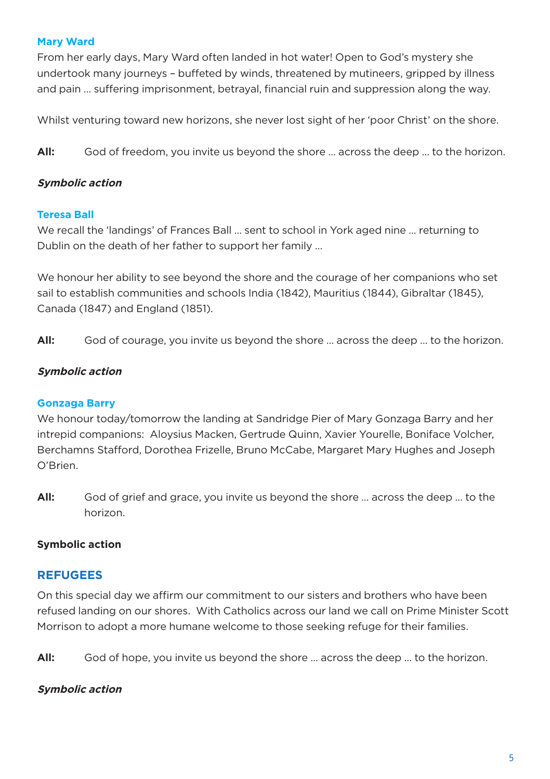#### **Mary Ward**

From her early days, Mary Ward often landed in hot water! Open to God's mystery she undertook many journeys – buffeted by winds, threatened by mutineers, gripped by illness and pain … suffering imprisonment, betrayal, financial ruin and suppression along the way.

Whilst venturing toward new horizons, she never lost sight of her 'poor Christ' on the shore.

**All:** God of freedom, you invite us beyond the shore … across the deep … to the horizon.

#### **Symbolic action**

#### **Teresa Ball**

We recall the 'landings' of Frances Ball … sent to school in York aged nine … returning to Dublin on the death of her father to support her family …

We honour her ability to see beyond the shore and the courage of her companions who set sail to establish communities and schools India (1842), Mauritius (1844), Gibraltar (1845), Canada (1847) and England (1851).

**All:** God of courage, you invite us beyond the shore … across the deep … to the horizon.

#### **Symbolic action**

#### **Gonzaga Barry**

We honour today/tomorrow the landing at Sandridge Pier of Mary Gonzaga Barry and her intrepid companions: Aloysius Macken, Gertrude Quinn, Xavier Yourelle, Boniface Volcher, Berchamns Stafford, Dorothea Frizelle, Bruno McCabe, Margaret Mary Hughes and Joseph O'Brien.

**All:** God of grief and grace, you invite us beyond the shore … across the deep … to the horizon.

#### **Symbolic action**

#### **REFUGEES**

On this special day we affirm our commitment to our sisters and brothers who have been refused landing on our shores. With Catholics across our land we call on Prime Minister Scott Morrison to adopt a more humane welcome to those seeking refuge for their families.

**All:** God of hope, you invite us beyond the shore … across the deep … to the horizon.

#### **Symbolic action**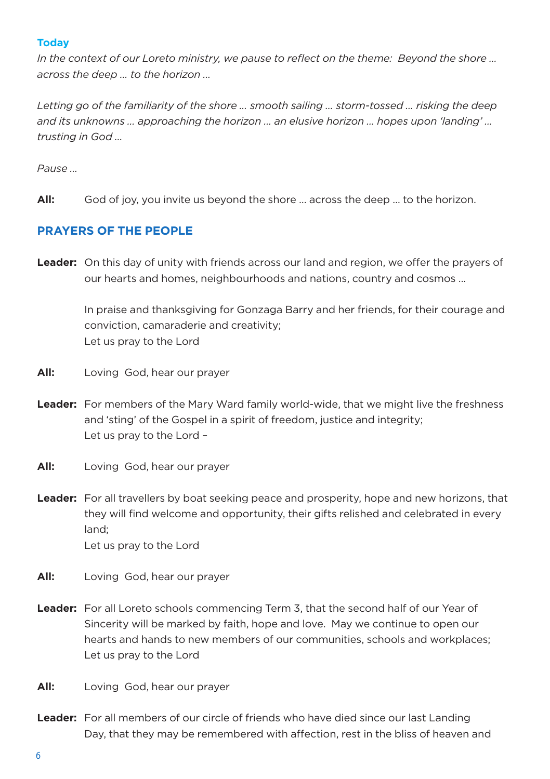#### **Today**

*In the context of our Loreto ministry, we pause to reflect on the theme: Beyond the shore … across the deep … to the horizon …* 

*Letting go of the familiarity of the shore … smooth sailing … storm-tossed … risking the deep and its unknowns … approaching the horizon … an elusive horizon … hopes upon 'landing' … trusting in God …* 

*Pause …* 

**All:** God of joy, you invite us beyond the shore … across the deep … to the horizon.

#### **PRAYERS OF THE PEOPLE**

**Leader:** On this day of unity with friends across our land and region, we offer the prayers of our hearts and homes, neighbourhoods and nations, country and cosmos …

> In praise and thanksgiving for Gonzaga Barry and her friends, for their courage and conviction, camaraderie and creativity; Let us pray to the Lord

- **All:** Loving God, hear our prayer
- **Leader:** For members of the Mary Ward family world-wide, that we might live the freshness and 'sting' of the Gospel in a spirit of freedom, justice and integrity; Let us pray to the Lord –
- **All:** Loving God, hear our prayer
- **Leader:** For all travellers by boat seeking peace and prosperity, hope and new horizons, that they will find welcome and opportunity, their gifts relished and celebrated in every land; Let us pray to the Lord
- **All:** Loving God, hear our prayer
- **Leader:** For all Loreto schools commencing Term 3, that the second half of our Year of Sincerity will be marked by faith, hope and love. May we continue to open our hearts and hands to new members of our communities, schools and workplaces; Let us pray to the Lord
- **All:** Loving God, hear our prayer
- Leader: For all members of our circle of friends who have died since our last Landing Day, that they may be remembered with affection, rest in the bliss of heaven and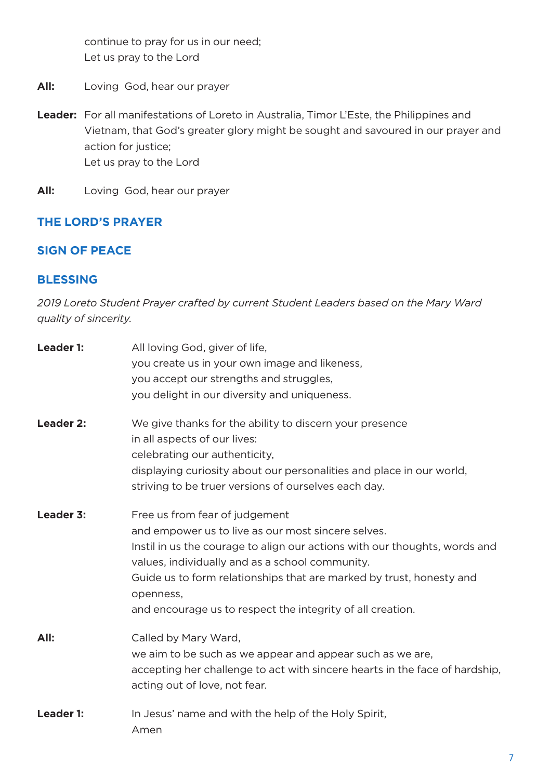continue to pray for us in our need; Let us pray to the Lord

- **All:** Loving God, hear our prayer
- **Leader:** For all manifestations of Loreto in Australia, Timor L'Este, the Philippines and Vietnam, that God's greater glory might be sought and savoured in our prayer and action for justice; Let us pray to the Lord
- **All:** Loving God, hear our prayer

#### **THE LORD'S PRAYER**

#### **SIGN OF PEACE**

#### **BLESSING**

*2019 Loreto Student Prayer crafted by current Student Leaders based on the Mary Ward quality of sincerity.*

| Leader 1: | All loving God, giver of life,<br>you create us in your own image and likeness,<br>you accept our strengths and struggles,<br>you delight in our diversity and uniqueness.                                                                                                                                                                                               |
|-----------|--------------------------------------------------------------------------------------------------------------------------------------------------------------------------------------------------------------------------------------------------------------------------------------------------------------------------------------------------------------------------|
| Leader 2: | We give thanks for the ability to discern your presence<br>in all aspects of our lives:<br>celebrating our authenticity,<br>displaying curiosity about our personalities and place in our world,<br>striving to be truer versions of ourselves each day.                                                                                                                 |
| Leader 3: | Free us from fear of judgement<br>and empower us to live as our most sincere selves.<br>Instil in us the courage to align our actions with our thoughts, words and<br>values, individually and as a school community.<br>Guide us to form relationships that are marked by trust, honesty and<br>openness,<br>and encourage us to respect the integrity of all creation. |
| All:      | Called by Mary Ward,<br>we aim to be such as we appear and appear such as we are,<br>accepting her challenge to act with sincere hearts in the face of hardship,<br>acting out of love, not fear.                                                                                                                                                                        |
| Leader 1: | In Jesus' name and with the help of the Holy Spirit,<br>Amen                                                                                                                                                                                                                                                                                                             |